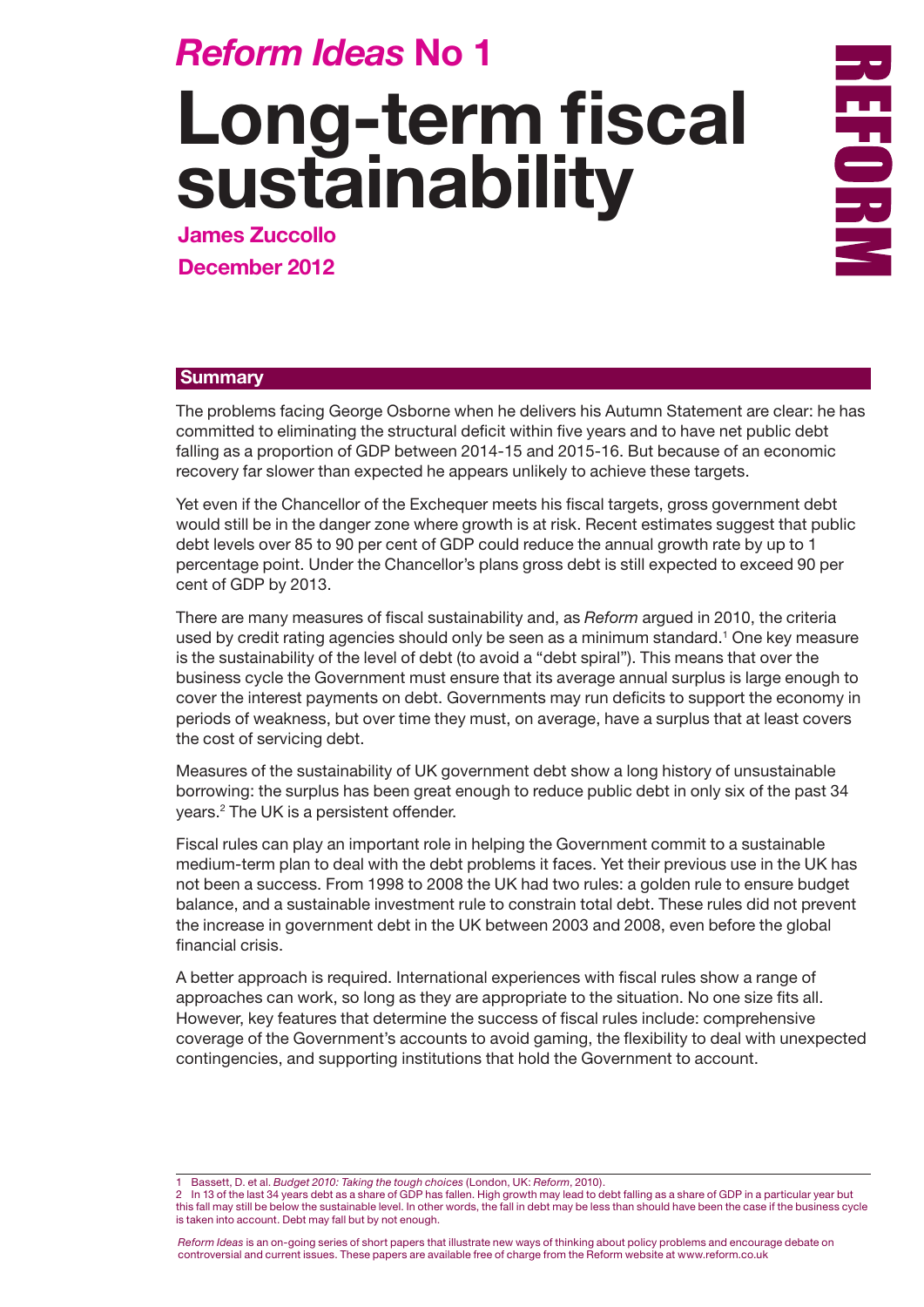## *Reform Ideas* **No 1**

# **Long-term fiscal sustainability**

**James Zuccollo December 2012**

**REFORE** 

#### **Summary**

The problems facing George Osborne when he delivers his Autumn Statement are clear: he has committed to eliminating the structural deficit within five years and to have net public debt falling as a proportion of GDP between 2014-15 and 2015-16. But because of an economic recovery far slower than expected he appears unlikely to achieve these targets.

Yet even if the Chancellor of the Exchequer meets his fiscal targets, gross government debt would still be in the danger zone where growth is at risk. Recent estimates suggest that public debt levels over 85 to 90 per cent of GDP could reduce the annual growth rate by up to 1 percentage point. Under the Chancellor's plans gross debt is still expected to exceed 90 per cent of GDP by 2013.

There are many measures of fiscal sustainability and, as *Reform* argued in 2010, the criteria used by credit rating agencies should only be seen as a minimum standard.<sup>1</sup> One key measure is the sustainability of the level of debt (to avoid a "debt spiral"). This means that over the business cycle the Government must ensure that its average annual surplus is large enough to cover the interest payments on debt. Governments may run deficits to support the economy in periods of weakness, but over time they must, on average, have a surplus that at least covers the cost of servicing debt.

Measures of the sustainability of UK government debt show a long history of unsustainable borrowing: the surplus has been great enough to reduce public debt in only six of the past 34 years.2 The UK is a persistent offender.

Fiscal rules can play an important role in helping the Government commit to a sustainable medium-term plan to deal with the debt problems it faces. Yet their previous use in the UK has not been a success. From 1998 to 2008 the UK had two rules: a golden rule to ensure budget balance, and a sustainable investment rule to constrain total debt. These rules did not prevent the increase in government debt in the UK between 2003 and 2008, even before the global financial crisis.

A better approach is required. International experiences with fiscal rules show a range of approaches can work, so long as they are appropriate to the situation. No one size fits all. However, key features that determine the success of fiscal rules include: comprehensive coverage of the Government's accounts to avoid gaming, the flexibility to deal with unexpected contingencies, and supporting institutions that hold the Government to account.

1 Bassett, D. et al. *Budget 2010: Taking the tough choices* (London, UK: *Reform*, 2010).

In 13 of the last 34 years debt as a share of GDP has fallen. High growth may lead to debt falling as a share of GDP in a particular year but this fall may still be below the sustainable level. In other words, the fall in debt may be less than should have been the case if the business cycle is taken into account. Debt may fall but by not enough.

*Reform Ideas* is an on-going series of short papers that illustrate new ways of thinking about policy problems and encourage debate on controversial and current issues. These papers are available free of charge from the Reform website at www.reform.co.uk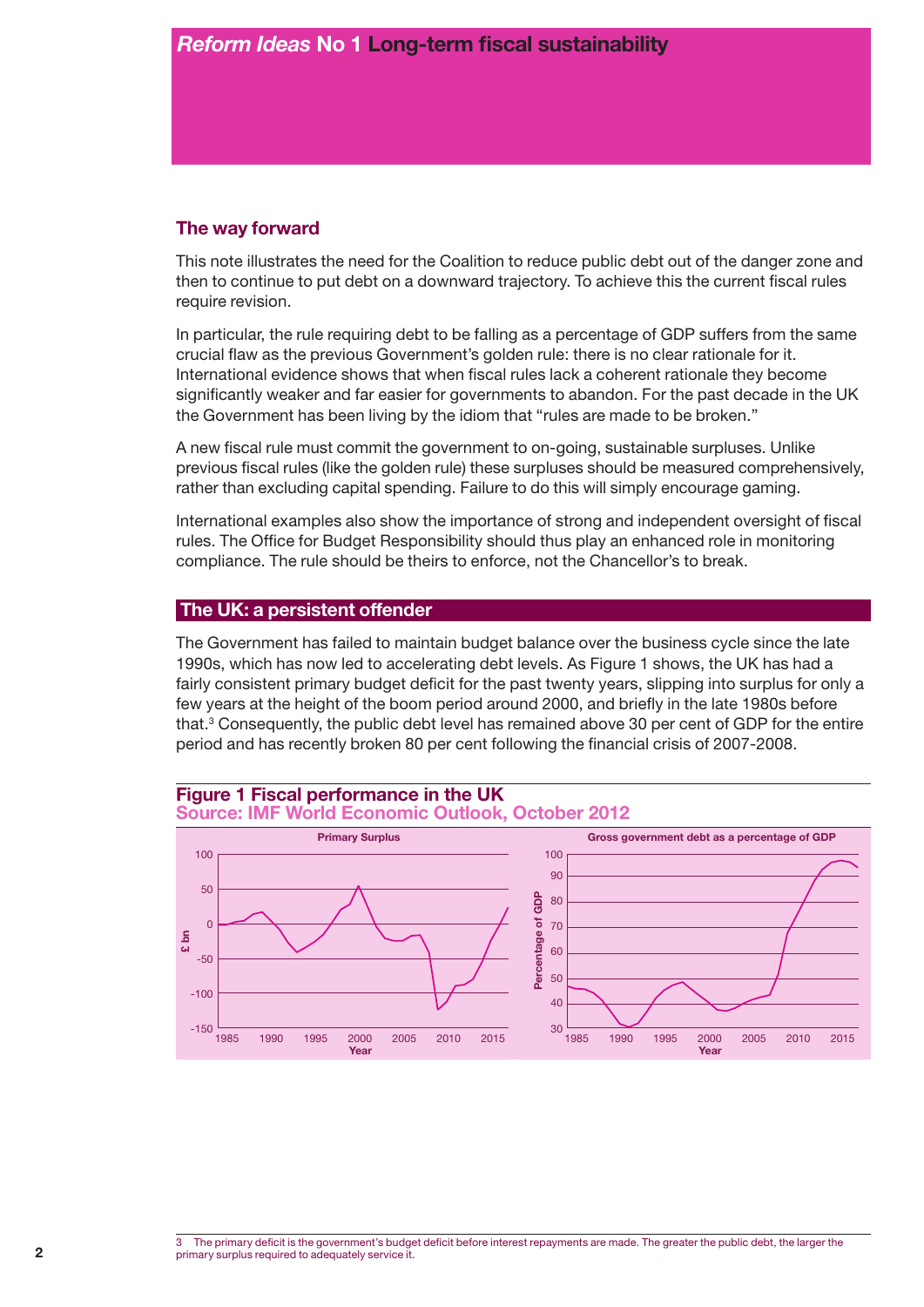#### **The way forward**

This note illustrates the need for the Coalition to reduce public debt out of the danger zone and then to continue to put debt on a downward trajectory. To achieve this the current fiscal rules require revision.

In particular, the rule requiring debt to be falling as a percentage of GDP suffers from the same crucial flaw as the previous Government's golden rule: there is no clear rationale for it. International evidence shows that when fiscal rules lack a coherent rationale they become significantly weaker and far easier for governments to abandon. For the past decade in the UK the Government has been living by the idiom that "rules are made to be broken."

A new fiscal rule must commit the government to on-going, sustainable surpluses. Unlike previous fiscal rules (like the golden rule) these surpluses should be measured comprehensively, rather than excluding capital spending. Failure to do this will simply encourage gaming.

International examples also show the importance of strong and independent oversight of fiscal rules. The Office for Budget Responsibility should thus play an enhanced role in monitoring compliance. The rule should be theirs to enforce, not the Chancellor's to break.

#### **The UK: a persistent offender**

The Government has failed to maintain budget balance over the business cycle since the late 1990s, which has now led to accelerating debt levels. As Figure 1 shows, the UK has had a fairly consistent primary budget deficit for the past twenty years, slipping into surplus for only a few years at the height of the boom period around 2000, and briefly in the late 1980s before that. $3$  Consequently, the public debt level has remained above 30 per cent of GDP for the entire period and has recently broken 80 per cent following the financial crisis of 2007-2008.



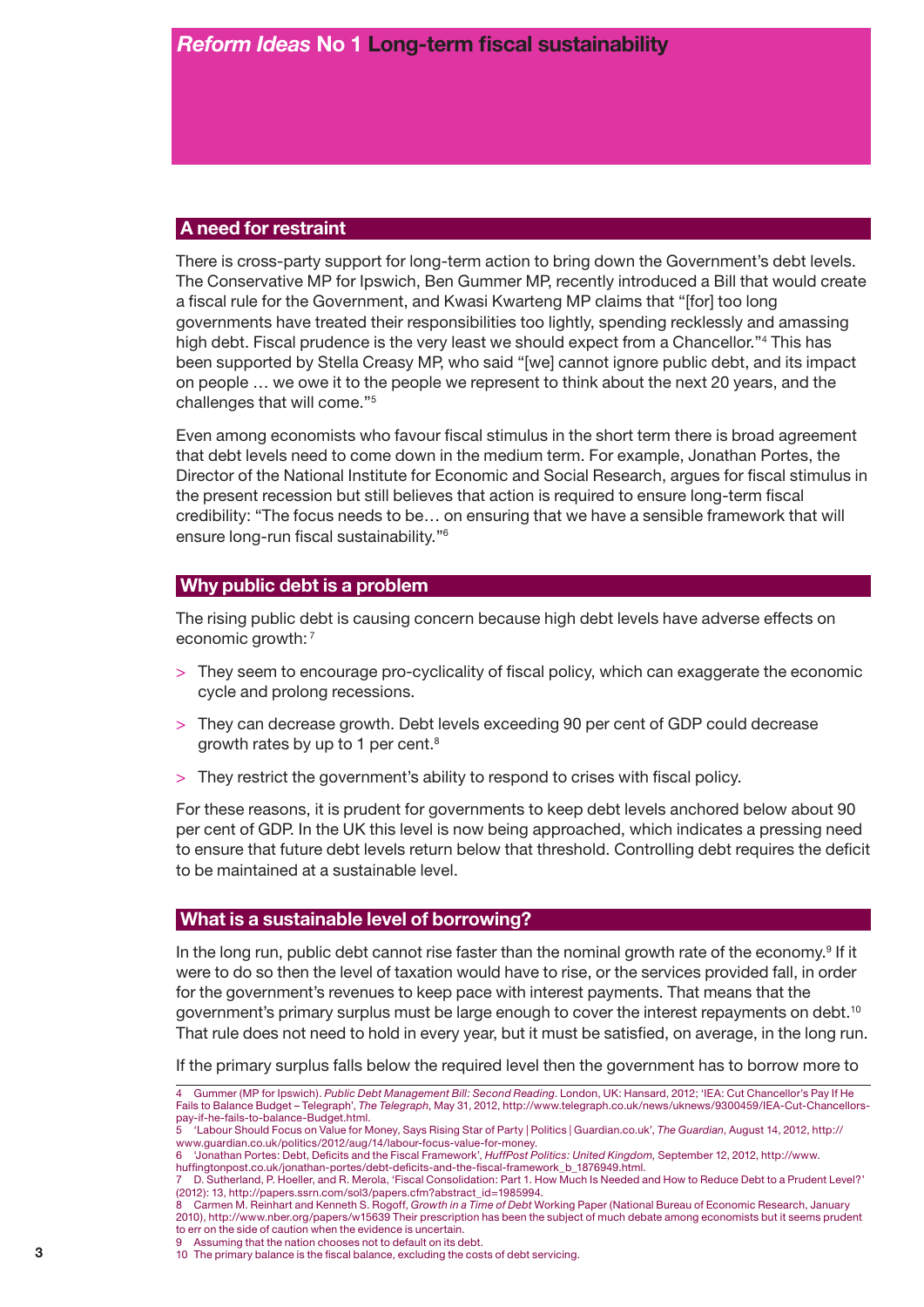#### **A need for restraint**

There is cross-party support for long-term action to bring down the Government's debt levels. The Conservative MP for Ipswich, Ben Gummer MP, recently introduced a Bill that would create a fiscal rule for the Government, and Kwasi Kwarteng MP claims that "[for] too long governments have treated their responsibilities too lightly, spending recklessly and amassing high debt. Fiscal prudence is the very least we should expect from a Chancellor."<sup>4</sup> This has been supported by Stella Creasy MP, who said "[we] cannot ignore public debt, and its impact on people … we owe it to the people we represent to think about the next 20 years, and the challenges that will come."5

Even among economists who favour fiscal stimulus in the short term there is broad agreement that debt levels need to come down in the medium term. For example, Jonathan Portes, the Director of the National Institute for Economic and Social Research, argues for fiscal stimulus in the present recession but still believes that action is required to ensure long-term fiscal credibility: "The focus needs to be… on ensuring that we have a sensible framework that will ensure long-run fiscal sustainability."6

#### **Why public debt is a problem**

The rising public debt is causing concern because high debt levels have adverse effects on economic growth: 7

- > They seem to encourage pro-cyclicality of fiscal policy, which can exaggerate the economic cycle and prolong recessions.
- > They can decrease growth. Debt levels exceeding 90 per cent of GDP could decrease growth rates by up to 1 per cent.8
- > They restrict the government's ability to respond to crises with fiscal policy.

For these reasons, it is prudent for governments to keep debt levels anchored below about 90 per cent of GDP. In the UK this level is now being approached, which indicates a pressing need to ensure that future debt levels return below that threshold. Controlling debt requires the deficit to be maintained at a sustainable level.

#### **What is a sustainable level of borrowing?**

In the long run, public debt cannot rise faster than the nominal growth rate of the economy.<sup>9</sup> If it were to do so then the level of taxation would have to rise, or the services provided fall, in order for the government's revenues to keep pace with interest payments. That means that the government's primary surplus must be large enough to cover the interest repayments on debt.<sup>10</sup> That rule does not need to hold in every year, but it must be satisfied, on average, in the long run.

If the primary surplus falls below the required level then the government has to borrow more to

- Assuming that the nation chooses not to default on its debt.
- 10 The primary balance is the fiscal balance, excluding the costs of debt servicing.

<sup>4</sup> Gummer (MP for Ipswich). *Public Debt Management Bill: Second Reading*. London, UK: Hansard, 2012; 'IEA: Cut Chancellor's Pay If He Fails to Balance Budget – Telegraph', *The Telegraph*, May 31, 2012, http://www.telegraph.co.uk/news/uknews/9300459/IEA-Cut-Chancellorspay-if-he-fails-to-balance-Budget.html.

<sup>5 &#</sup>x27;Labour Should Focus on Value for Money, Says Rising Star of Party | Politics | Guardian.co.uk', *The Guardian*, August 14, 2012, http:// www.guardian.co.uk/politics/2012/aug/14/labour-focus-value-for-money.

<sup>6 &#</sup>x27;Jonathan Portes: Debt, Deficits and the Fiscal Framework', *HuffPost Politics: United Kingdom,* September 12, 2012, http://www.

huffingtonpost.co.uk/jonathan-portes/debt-deficits-and-the-fiscal-framework\_b\_1876949.html. 7 D. Sutherland, P. Hoeller, and R. Merola, 'Fiscal Consolidation: Part 1. How Much Is Needed and How to Reduce Debt to a Prudent Level?'

<sup>(2012): 13,</sup> http://papers.ssrn.com/sol3/papers.cfm?abstract\_id=1985994. 8 Carmen M. Reinhart and Kenneth S. Rogoff, *Growth in a Time of Debt* Working Paper (National Bureau of Economic Research, January

<sup>2010),</sup> http://www.nber.org/papers/w15639 Their prescription has been the subject of much debate among economists but it seems prudent to err on the side of caution when the evidence is uncertain.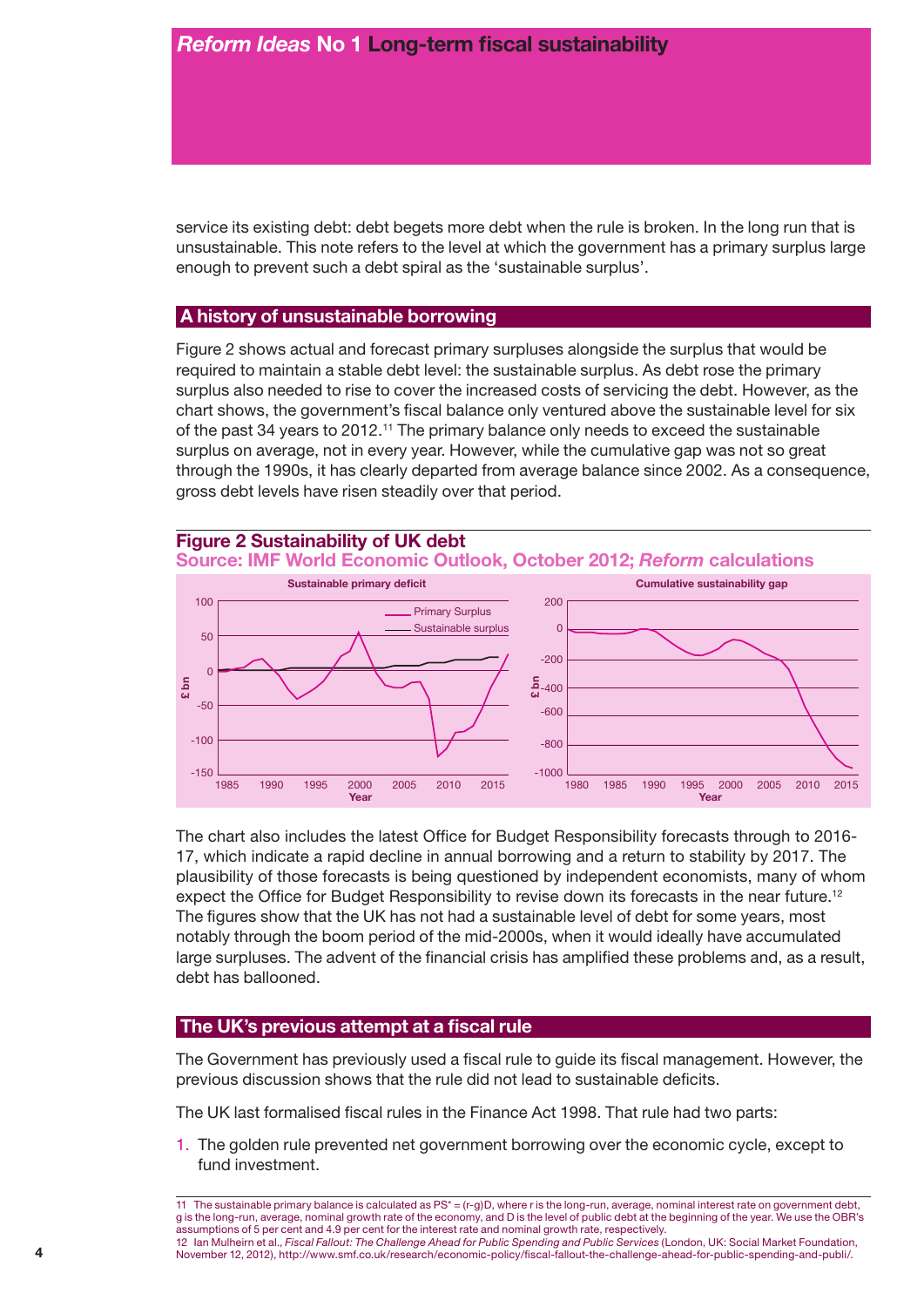service its existing debt: debt begets more debt when the rule is broken. In the long run that is unsustainable. This note refers to the level at which the government has a primary surplus large enough to prevent such a debt spiral as the 'sustainable surplus'.

#### **A history of unsustainable borrowing**

Figure 2 shows actual and forecast primary surpluses alongside the surplus that would be required to maintain a stable debt level: the sustainable surplus. As debt rose the primary surplus also needed to rise to cover the increased costs of servicing the debt. However, as the chart shows, the government's fiscal balance only ventured above the sustainable level for six of the past 34 years to 2012.11 The primary balance only needs to exceed the sustainable surplus on average, not in every year. However, while the cumulative gap was not so great through the 1990s, it has clearly departed from average balance since 2002. As a consequence, gross debt levels have risen steadily over that period.



The chart also includes the latest Office for Budget Responsibility forecasts through to 2016- 17, which indicate a rapid decline in annual borrowing and a return to stability by 2017. The plausibility of those forecasts is being questioned by independent economists, many of whom expect the Office for Budget Responsibility to revise down its forecasts in the near future.<sup>12</sup> The figures show that the UK has not had a sustainable level of debt for some years, most notably through the boom period of the mid-2000s, when it would ideally have accumulated large surpluses. The advent of the financial crisis has amplified these problems and, as a result, debt has ballooned.

#### **The UK's previous attempt at a fiscal rule**

The Government has previously used a fiscal rule to guide its fiscal management. However, the previous discussion shows that the rule did not lead to sustainable deficits.

The UK last formalised fiscal rules in the Finance Act 1998. That rule had two parts:

1. The golden rule prevented net government borrowing over the economic cycle, except to fund investment.

11 The sustainable primary balance is calculated as PS\* = (r-g)D, where r is the long-run, average, nominal interest rate on government debt, g is the long-run, average, nominal growth rate of the economy, and D is the level of public debt at the beginning of the year. We use the OBR's assumptions of 5 per cent and 4.9 per cent for the interest rate and nominal growth rate, respectively.

<sup>12</sup> Ian Mulheirn et al., *Fiscal Fallout: The Challenge Ahead for Public Spending and Public Services* (London, UK: Social Market Foundation, November 12, 2012), http://www.smf.co.uk/research/economic-policy/fiscal-fallout-the-challenge-ahead-for-public-spending-and-publi/.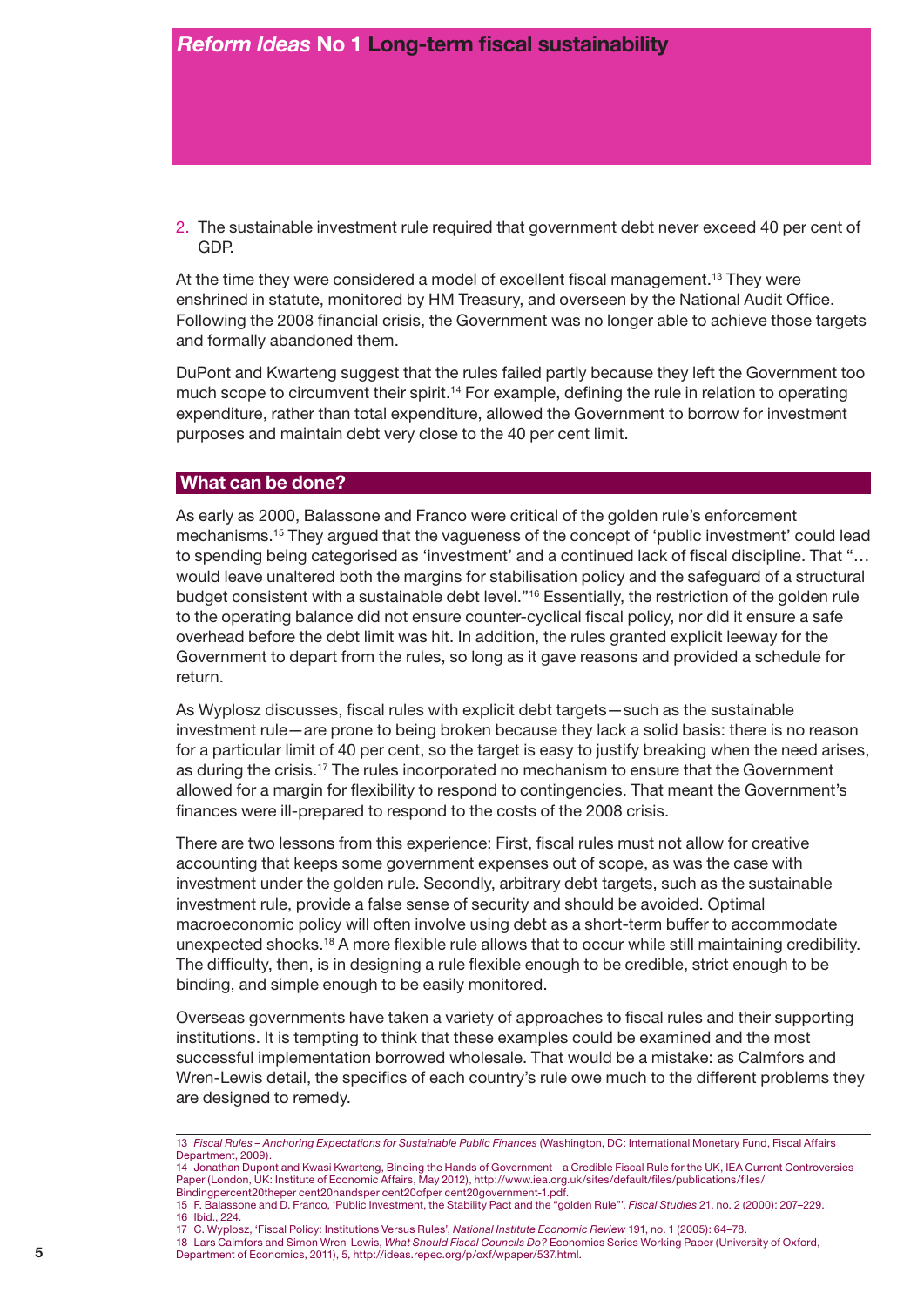2. The sustainable investment rule required that government debt never exceed 40 per cent of GDP.

At the time they were considered a model of excellent fiscal management.<sup>13</sup> They were enshrined in statute, monitored by HM Treasury, and overseen by the National Audit Office. Following the 2008 financial crisis, the Government was no longer able to achieve those targets and formally abandoned them.

DuPont and Kwarteng suggest that the rules failed partly because they left the Government too much scope to circumvent their spirit.<sup>14</sup> For example, defining the rule in relation to operating expenditure, rather than total expenditure, allowed the Government to borrow for investment purposes and maintain debt very close to the 40 per cent limit.

#### **What can be done?**

As early as 2000, Balassone and Franco were critical of the golden rule's enforcement mechanisms.15 They argued that the vagueness of the concept of 'public investment' could lead to spending being categorised as 'investment' and a continued lack of fiscal discipline. That "… would leave unaltered both the margins for stabilisation policy and the safeguard of a structural budget consistent with a sustainable debt level."16 Essentially, the restriction of the golden rule to the operating balance did not ensure counter-cyclical fiscal policy, nor did it ensure a safe overhead before the debt limit was hit. In addition, the rules granted explicit leeway for the Government to depart from the rules, so long as it gave reasons and provided a schedule for return.

As Wyplosz discusses, fiscal rules with explicit debt targets—such as the sustainable investment rule—are prone to being broken because they lack a solid basis: there is no reason for a particular limit of 40 per cent, so the target is easy to justify breaking when the need arises, as during the crisis.17 The rules incorporated no mechanism to ensure that the Government allowed for a margin for flexibility to respond to contingencies. That meant the Government's finances were ill-prepared to respond to the costs of the 2008 crisis.

There are two lessons from this experience: First, fiscal rules must not allow for creative accounting that keeps some government expenses out of scope, as was the case with investment under the golden rule. Secondly, arbitrary debt targets, such as the sustainable investment rule, provide a false sense of security and should be avoided. Optimal macroeconomic policy will often involve using debt as a short-term buffer to accommodate unexpected shocks.18 A more flexible rule allows that to occur while still maintaining credibility. The difficulty, then, is in designing a rule flexible enough to be credible, strict enough to be binding, and simple enough to be easily monitored.

Overseas governments have taken a variety of approaches to fiscal rules and their supporting institutions. It is tempting to think that these examples could be examined and the most successful implementation borrowed wholesale. That would be a mistake: as Calmfors and Wren-Lewis detail, the specifics of each country's rule owe much to the different problems they are designed to remedy.

- 17 C. Wyplosz, 'Fiscal Policy: Institutions Versus Rules', *National Institute Economic Review* 191, no. 1 (2005): 64–78.
- 18 Lars Calmfors and Simon Wren-Lewis, *What Should Fiscal Councils Do?* Economics Series Working Paper (University of Oxford, Department of Economics, 2011), 5, http://ideas.repec.org/p/oxf/wpaper/537.html.

<sup>13</sup> *Fiscal Rules – Anchoring Expectations for Sustainable Public Finances* (Washington, DC: International Monetary Fund, Fiscal Affairs Department, 2009).

<sup>14</sup> Jonathan Dupont and Kwasi Kwarteng, Binding the Hands of Government – a Credible Fiscal Rule for the UK, IEA Current Controversies Paper (London, UK: Institute of Economic Affairs, May 2012), http://www.iea.org.uk/sites/default/files/publications/files/ Bindingpercent20theper cent20handsper cent20ofper cent20government-1.pdf.

<sup>15</sup> F. Balassone and D. Franco, 'Public Investment, the Stability Pact and the "golden Rule"', *Fiscal Studies* 21, no. 2 (2000): 207–229. 16 Ibid., 224.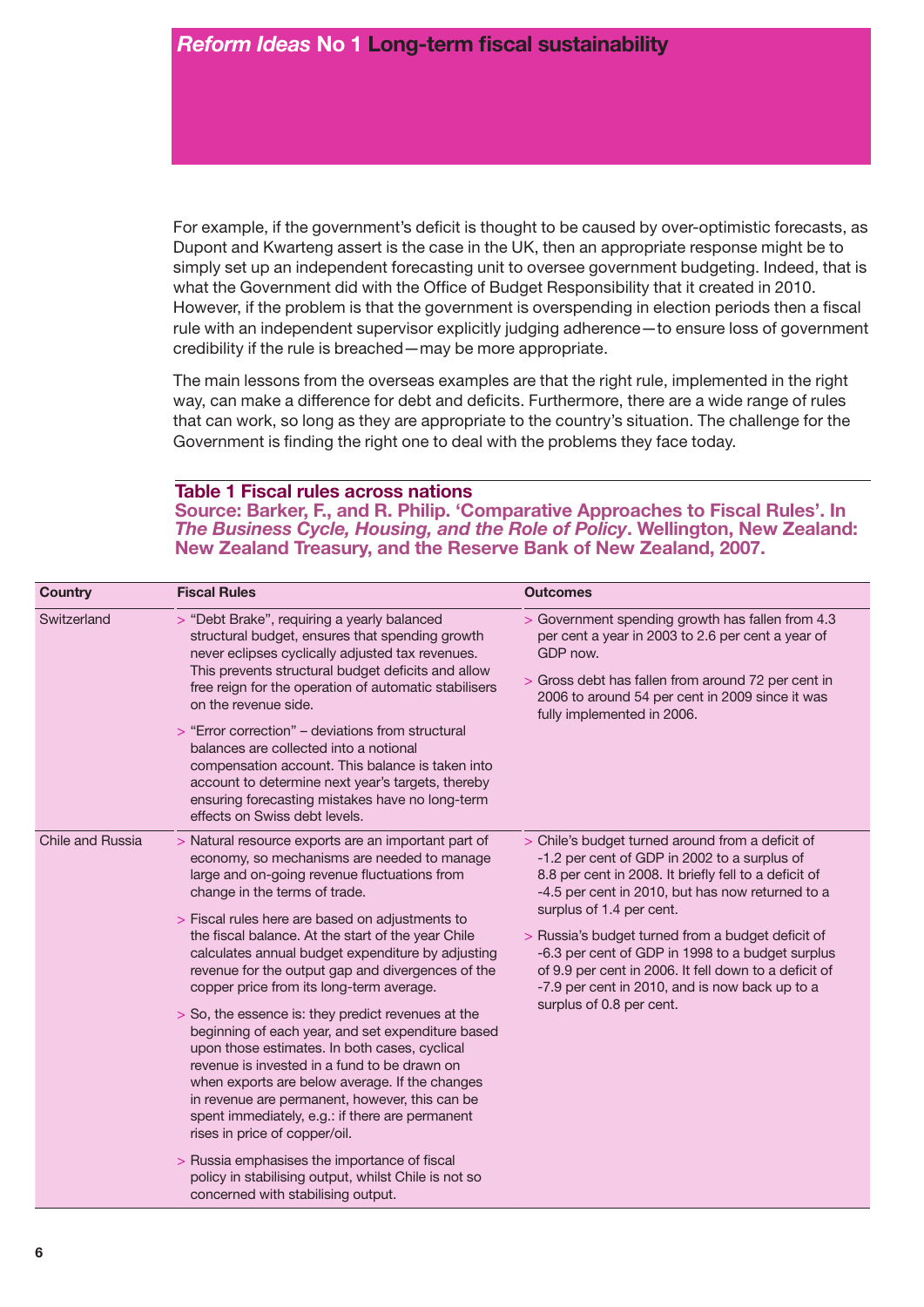For example, if the government's deficit is thought to be caused by over-optimistic forecasts, as Dupont and Kwarteng assert is the case in the UK, then an appropriate response might be to simply set up an independent forecasting unit to oversee government budgeting. Indeed, that is what the Government did with the Office of Budget Responsibility that it created in 2010. However, if the problem is that the government is overspending in election periods then a fiscal rule with an independent supervisor explicitly judging adherence—to ensure loss of government credibility if the rule is breached—may be more appropriate.

The main lessons from the overseas examples are that the right rule, implemented in the right way, can make a difference for debt and deficits. Furthermore, there are a wide range of rules that can work, so long as they are appropriate to the country's situation. The challenge for the Government is finding the right one to deal with the problems they face today.

#### **Table 1 Fiscal rules across nations**

**Source: Barker, F., and R. Philip. 'Comparative Approaches to Fiscal Rules'. In**  *The Business Cycle, Housing, and the Role of Policy***. Wellington, New Zealand: New Zealand Treasury, and the Reserve Bank of New Zealand, 2007.**

| <b>Country</b>   | <b>Fiscal Rules</b>                                                                                                                                                                                                                                                                                                                                                                                                                                                                                                                                                                                                                                                                                                                                                                                                                                                                                                                                                                                  | <b>Outcomes</b>                                                                                                                                                                                                                                                                                                                                                                                                                                                                           |
|------------------|------------------------------------------------------------------------------------------------------------------------------------------------------------------------------------------------------------------------------------------------------------------------------------------------------------------------------------------------------------------------------------------------------------------------------------------------------------------------------------------------------------------------------------------------------------------------------------------------------------------------------------------------------------------------------------------------------------------------------------------------------------------------------------------------------------------------------------------------------------------------------------------------------------------------------------------------------------------------------------------------------|-------------------------------------------------------------------------------------------------------------------------------------------------------------------------------------------------------------------------------------------------------------------------------------------------------------------------------------------------------------------------------------------------------------------------------------------------------------------------------------------|
| Switzerland      | > "Debt Brake", requiring a yearly balanced<br>structural budget, ensures that spending growth<br>never eclipses cyclically adjusted tax revenues.<br>This prevents structural budget deficits and allow<br>free reign for the operation of automatic stabilisers<br>on the revenue side.<br>> "Error correction" – deviations from structural<br>balances are collected into a notional<br>compensation account. This balance is taken into<br>account to determine next year's targets, thereby<br>ensuring forecasting mistakes have no long-term<br>effects on Swiss debt levels.                                                                                                                                                                                                                                                                                                                                                                                                                | > Government spending growth has fallen from 4.3<br>per cent a year in 2003 to 2.6 per cent a year of<br>GDP now.<br>> Gross debt has fallen from around 72 per cent in<br>2006 to around 54 per cent in 2009 since it was<br>fully implemented in 2006.                                                                                                                                                                                                                                  |
| Chile and Russia | > Natural resource exports are an important part of<br>economy, so mechanisms are needed to manage<br>large and on-going revenue fluctuations from<br>change in the terms of trade.<br>> Fiscal rules here are based on adjustments to<br>the fiscal balance. At the start of the year Chile<br>calculates annual budget expenditure by adjusting<br>revenue for the output gap and divergences of the<br>copper price from its long-term average.<br>> So, the essence is: they predict revenues at the<br>beginning of each year, and set expenditure based<br>upon those estimates. In both cases, cyclical<br>revenue is invested in a fund to be drawn on<br>when exports are below average. If the changes<br>in revenue are permanent, however, this can be<br>spent immediately, e.g.: if there are permanent<br>rises in price of copper/oil.<br>> Russia emphasises the importance of fiscal<br>policy in stabilising output, whilst Chile is not so<br>concerned with stabilising output. | > Chile's budget turned around from a deficit of<br>-1.2 per cent of GDP in 2002 to a surplus of<br>8.8 per cent in 2008. It briefly fell to a deficit of<br>-4.5 per cent in 2010, but has now returned to a<br>surplus of 1.4 per cent.<br>> Russia's budget turned from a budget deficit of<br>-6.3 per cent of GDP in 1998 to a budget surplus<br>of 9.9 per cent in 2006. It fell down to a deficit of<br>-7.9 per cent in 2010, and is now back up to a<br>surplus of 0.8 per cent. |